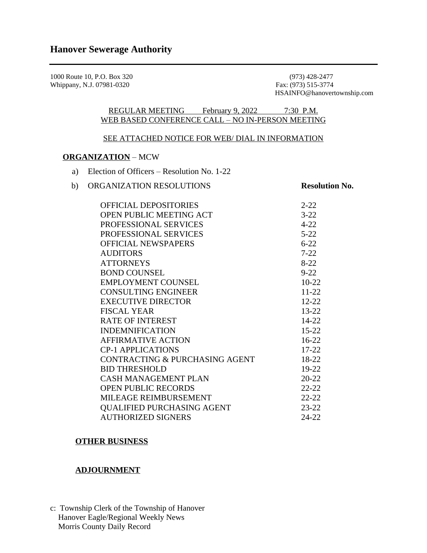1000 Route 10, P.O. Box 320 (973) 428-2477<br>Whippany, N.J. 07981-0320 Fax: (973) 515-3774 Whippany, N.J. 07981-0320

HSAINFO@hanovertownship.com

REGULAR MEETING February 9, 2022 7:30 P.M. WEB BASED CONFERENCE CALL – NO IN-PERSON MEETING

## SEE ATTACHED NOTICE FOR WEB/ DIAL IN INFORMATION

## **ORGANIZATION** – MCW

- a) Election of Officers Resolution No. 1-22
- b) ORGANIZATION RESOLUTIONS **Resolution No.**

| <b>OFFICIAL DEPOSITORIES</b>      | $2 - 22$  |
|-----------------------------------|-----------|
| <b>OPEN PUBLIC MEETING ACT</b>    | $3 - 22$  |
| PROFESSIONAL SERVICES             | $4 - 22$  |
| PROFESSIONAL SERVICES             | $5 - 22$  |
| <b>OFFICIAL NEWSPAPERS</b>        | $6 - 22$  |
| <b>AUDITORS</b>                   | $7 - 22$  |
| <b>ATTORNEYS</b>                  | $8 - 22$  |
| <b>BOND COUNSEL</b>               | $9 - 22$  |
| <b>EMPLOYMENT COUNSEL</b>         | $10-22$   |
| <b>CONSULTING ENGINEER</b>        | $11 - 22$ |
| <b>EXECUTIVE DIRECTOR</b>         | $12 - 22$ |
| <b>FISCAL YEAR</b>                | $13 - 22$ |
| <b>RATE OF INTEREST</b>           | $14 - 22$ |
| <b>INDEMNIFICATION</b>            | $15 - 22$ |
| <b>AFFIRMATIVE ACTION</b>         | $16-22$   |
| <b>CP-1 APPLICATIONS</b>          | $17 - 22$ |
| CONTRACTING & PURCHASING AGENT    | 18-22     |
| <b>BID THRESHOLD</b>              | 19-22     |
| <b>CASH MANAGEMENT PLAN</b>       | $20 - 22$ |
| <b>OPEN PUBLIC RECORDS</b>        | $22 - 22$ |
| MILEAGE REIMBURSEMENT             | $22 - 22$ |
| <b>QUALIFIED PURCHASING AGENT</b> | $23 - 22$ |
| <b>AUTHORIZED SIGNERS</b>         | 24-22     |

### **OTHER BUSINESS**

# **ADJOURNMENT**

c: Township Clerk of the Township of Hanover Hanover Eagle/Regional Weekly News Morris County Daily Record